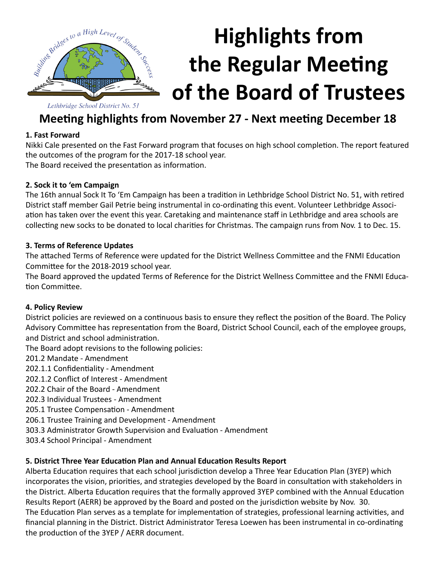

# **Highlights from the Regular Meeting of the Board of Trustees**

### **Meeting highlights from November 27 - Next meeting December 18**

#### **1. Fast Forward**

Nikki Cale presented on the Fast Forward program that focuses on high school completion. The report featured the outcomes of the program for the 2017-18 school year. The Board received the presentation as information.

#### **2. Sock it to 'em Campaign**

The 16th annual Sock It To 'Em Campaign has been a tradition in Lethbridge School District No. 51, with retired District staff member Gail Petrie being instrumental in co-ordinating this event. Volunteer Lethbridge Association has taken over the event this year. Caretaking and maintenance staff in Lethbridge and area schools are collecting new socks to be donated to local charities for Christmas. The campaign runs from Nov. 1 to Dec. 15.

#### **3. Terms of Reference Updates**

The attached Terms of Reference were updated for the District Wellness Committee and the FNMI Education Committee for the 2018-2019 school year.

The Board approved the updated Terms of Reference for the District Wellness Committee and the FNMI Education Committee.

#### **4. Policy Review**

District policies are reviewed on a continuous basis to ensure they reflect the position of the Board. The Policy Advisory Committee has representation from the Board, District School Council, each of the employee groups, and District and school administration.

The Board adopt revisions to the following policies:

201.2 Mandate - Amendment

- 202.1.1 Confidentiality Amendment
- 202.1.2 Conflict of Interest Amendment
- 202.2 Chair of the Board Amendment
- 202.3 Individual Trustees Amendment
- 205.1 Trustee Compensation Amendment
- 206.1 Trustee Training and Development Amendment
- 303.3 Administrator Growth Supervision and Evaluation Amendment
- 303.4 School Principal Amendment

#### **5. District Three Year Education Plan and Annual Education Results Report**

Alberta Education requires that each school jurisdiction develop a Three Year Education Plan (3YEP) which incorporates the vision, priorities, and strategies developed by the Board in consultation with stakeholders in the District. Alberta Education requires that the formally approved 3YEP combined with the Annual Education Results Report (AERR) be approved by the Board and posted on the jurisdiction website by Nov. 30. The Education Plan serves as a template for implementation of strategies, professional learning activities, and financial planning in the District. District Administrator Teresa Loewen has been instrumental in co-ordinating the production of the 3YEP / AERR document.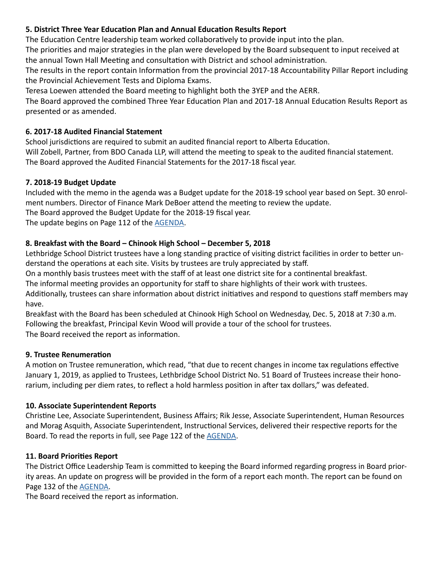#### **5. District Three Year Education Plan and Annual Education Results Report**

The Education Centre leadership team worked collaboratively to provide input into the plan.

The priorities and major strategies in the plan were developed by the Board subsequent to input received at the annual Town Hall Meeting and consultation with District and school administration.

The results in the report contain Information from the provincial 2017-18 Accountability Pillar Report including the Provincial Achievement Tests and Diploma Exams.

Teresa Loewen attended the Board meeting to highlight both the 3YEP and the AERR.

The Board approved the combined Three Year Education Plan and 2017-18 Annual Education Results Report as presented or as amended.

#### **6. 2017-18 Audited Financial Statement**

School jurisdictions are required to submit an audited financial report to Alberta Education. Will Zobell, Partner, from BDO Canada LLP, will attend the meeting to speak to the audited financial statement. The Board approved the Audited Financial Statements for the 2017-18 fiscal year.

#### **7. 2018-19 Budget Update**

Included with the memo in the agenda was a Budget update for the 2018-19 school year based on Sept. 30 enrolment numbers. Director of Finance Mark DeBoer attend the meeting to review the update.

The Board approved the Budget Update for the 2018-19 fiscal year.

The update begins on Page 112 of the [AGENDA](http://www.lethsd.ab.ca/documents/general/2018-11-27%20Board%20Meeting%20Agenda.pdf).

#### **8. Breakfast with the Board – Chinook High School – December 5, 2018**

Lethbridge School District trustees have a long standing practice of visiting district facilities in order to better understand the operations at each site. Visits by trustees are truly appreciated by staff.

On a monthly basis trustees meet with the staff of at least one district site for a continental breakfast.

The informal meeting provides an opportunity for staff to share highlights of their work with trustees.

Additionally, trustees can share information about district initiatives and respond to questions staff members may have.

Breakfast with the Board has been scheduled at Chinook High School on Wednesday, Dec. 5, 2018 at 7:30 a.m. Following the breakfast, Principal Kevin Wood will provide a tour of the school for trustees. The Board received the report as information.

#### **9. Trustee Renumeration**

A motion on Trustee remuneration, which read, "that due to recent changes in income tax regulations effective January 1, 2019, as applied to Trustees, Lethbridge School District No. 51 Board of Trustees increase their honorarium, including per diem rates, to reflect a hold harmless position in after tax dollars," was defeated.

#### **10. Associate Superintendent Reports**

Christine Lee, Associate Superintendent, Business Affairs; Rik Jesse, Associate Superintendent, Human Resources and Morag Asquith, Associate Superintendent, Instructional Services, delivered their respective reports for the Board. To read the reports in full, see Page 122 of the [AGENDA.](http://www.lethsd.ab.ca/documents/general/2018-11-27%20Board%20Meeting%20Agenda.pdf)

#### **11. Board Priorities Report**

The District Office Leadership Team is committed to keeping the Board informed regarding progress in Board priority areas. An update on progress will be provided in the form of a report each month. The report can be found on Page 132 of the [AGENDA](http://www.lethsd.ab.ca/documents/general/2018-11-27%20Board%20Meeting%20Agenda.pdf).

The Board received the report as information.